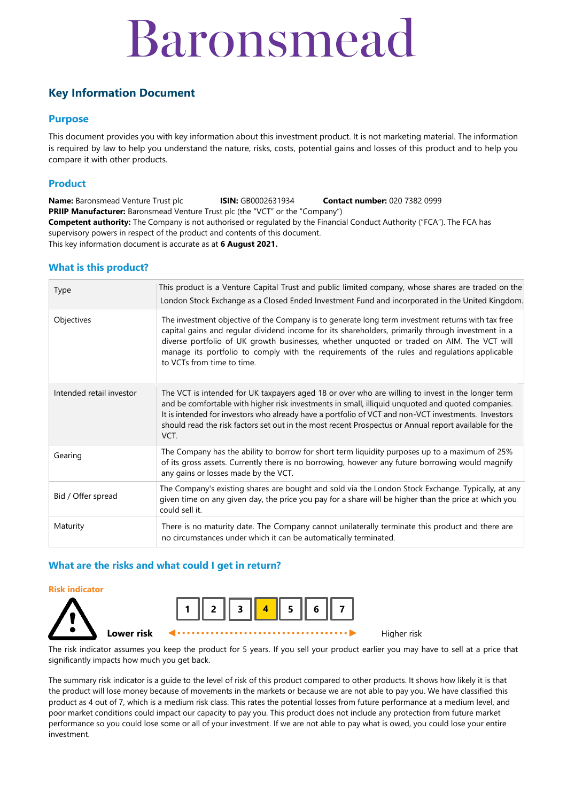## Baronsmead

## **Key Information Document**

#### **Purpose**

This document provides you with key information about this investment product. It is not marketing material. The information is required by law to help you understand the nature, risks, costs, potential gains and losses of this product and to help you compare it with other products.

#### **Product**

**Name:** Baronsmead Venture Trust plc **ISIN:** GB0002631934 **Contact number:** 020 7382 0999 **PRIIP Manufacturer:** Baronsmead Venture Trust plc (the "VCT" or the "Company") **Competent authority:** The Company is not authorised or regulated by the Financial Conduct Authority ("FCA"). The FCA has supervisory powers in respect of the product and contents of this document. This key information document is accurate as at **6 August 2021.**

#### **What is this product?**

| Type                     | This product is a Venture Capital Trust and public limited company, whose shares are traded on the<br>London Stock Exchange as a Closed Ended Investment Fund and incorporated in the United Kingdom.                                                                                                                                                                                                                              |
|--------------------------|------------------------------------------------------------------------------------------------------------------------------------------------------------------------------------------------------------------------------------------------------------------------------------------------------------------------------------------------------------------------------------------------------------------------------------|
| Objectives               | The investment objective of the Company is to generate long term investment returns with tax free<br>capital gains and regular dividend income for its shareholders, primarily through investment in a<br>diverse portfolio of UK growth businesses, whether unquoted or traded on AIM. The VCT will<br>manage its portfolio to comply with the requirements of the rules and regulations applicable<br>to VCTs from time to time. |
| Intended retail investor | The VCT is intended for UK taxpayers aged 18 or over who are willing to invest in the longer term<br>and be comfortable with higher risk investments in small, illiquid unquoted and quoted companies.<br>It is intended for investors who already have a portfolio of VCT and non-VCT investments. Investors<br>should read the risk factors set out in the most recent Prospectus or Annual report available for the<br>VCT.     |
| Gearing                  | The Company has the ability to borrow for short term liquidity purposes up to a maximum of 25%<br>of its gross assets. Currently there is no borrowing, however any future borrowing would magnify<br>any gains or losses made by the VCT.                                                                                                                                                                                         |
| Bid / Offer spread       | The Company's existing shares are bought and sold via the London Stock Exchange. Typically, at any<br>given time on any given day, the price you pay for a share will be higher than the price at which you<br>could sell it.                                                                                                                                                                                                      |
| Maturity                 | There is no maturity date. The Company cannot unilaterally terminate this product and there are<br>no circumstances under which it can be automatically terminated.                                                                                                                                                                                                                                                                |

#### **What are the risks and what could I get in return?**

#### **Risk indicator**





The risk indicator assumes you keep the product for 5 years. If you sell your product earlier you may have to sell at a price that significantly impacts how much you get back.

The summary risk indicator is a guide to the level of risk of this product compared to other products. It shows how likely it is that the product will lose money because of movements in the markets or because we are not able to pay you. We have classified this product as 4 out of 7, which is a medium risk class. This rates the potential losses from future performance at a medium level, and poor market conditions could impact our capacity to pay you. This product does not include any protection from future market performance so you could lose some or all of your investment. If we are not able to pay what is owed, you could lose your entire investment.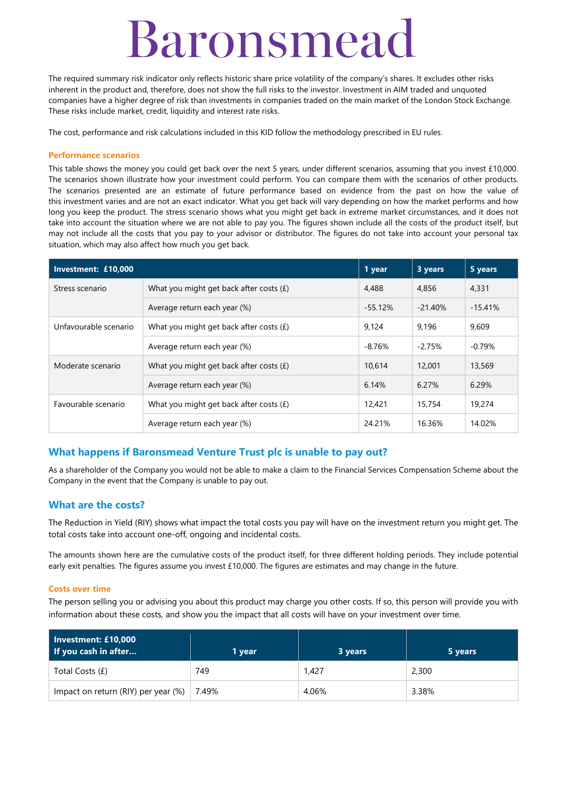## Baronsmead

The required summary risk indicator only reflects historic share price volatility of the company's shares. It excludes other risks inherent in the product and, therefore, does not show the full risks to the investor. Investment in AIM traded and unquoted companies have a higher degree of risk than investments in companies traded on the main market of the London Stock Exchange. These risks include market, credit, liquidity and interest rate risks.

The cost, performance and risk calculations included in this KID follow the methodology prescribed in EU rules.

#### **Performance scenarios**

This table shows the money you could get back over the next 5 years, under different scenarios, assuming that you invest £10,000. The scenarios shown illustrate how your investment could perform. You can compare them with the scenarios of other products. The scenarios presented are an estimate of future performance based on evidence from the past on how the value of this investment varies and are not an exact indicator. What you get back will vary depending on how the market performs and how long you keep the product. The stress scenario shows what you might get back in extreme market circumstances, and it does not take into account the situation where we are not able to pay you. The figures shown include all the costs of the product itself, but may not include all the costs that you pay to your advisor or distributor. The figures do not take into account your personal tax situation, which may also affect how much you get back.

| Investment: £10,000                                              |                                           |           | 3 years   | 5 years   |
|------------------------------------------------------------------|-------------------------------------------|-----------|-----------|-----------|
| Stress scenario                                                  | What you might get back after costs $(f)$ | 4,488     | 4,856     | 4,331     |
|                                                                  | Average return each year (%)              | $-55.12%$ | $-21.40%$ | $-15.41%$ |
| Unfavourable scenario                                            | What you might get back after costs $(E)$ | 9.124     | 9.196     | 9,609     |
|                                                                  | Average return each year (%)              | $-8.76%$  | $-2.75%$  | $-0.79\%$ |
| Moderate scenario                                                | What you might get back after costs $(f)$ | 10.614    | 12,001    | 13,569    |
|                                                                  | Average return each year (%)              | 6.14%     | 6.27%     | 6.29%     |
| Favourable scenario<br>What you might get back after costs $(f)$ |                                           | 12,421    | 15,754    | 19,274    |
|                                                                  | Average return each year (%)              | 24.21%    | 16.36%    | 14.02%    |

## **What happens if Baronsmead Venture Trust plc is unable to pay out?**

As a shareholder of the Company you would not be able to make a claim to the Financial Services Compensation Scheme about the Company in the event that the Company is unable to pay out.

## **What are the costs?**

The Reduction in Yield (RIY) shows what impact the total costs you pay will have on the investment return you might get. The total costs take into account one-off, ongoing and incidental costs.

The amounts shown here are the cumulative costs of the product itself, for three different holding periods. They include potential early exit penalties. The figures assume you invest £10,000. The figures are estimates and may change in the future.

#### **Costs over time**

The person selling you or advising you about this product may charge you other costs. If so, this person will provide you with information about these costs, and show you the impact that all costs will have on your investment over time.

| Investment: £10,000<br>If you cash in after | 1 vear | 3 years | 5 years |
|---------------------------------------------|--------|---------|---------|
| Total Costs (£)                             | 749    | 1.427   | 2,300   |
| Impact on return (RIY) per year (%)         | 7.49%  | 4.06%   | 3.38%   |